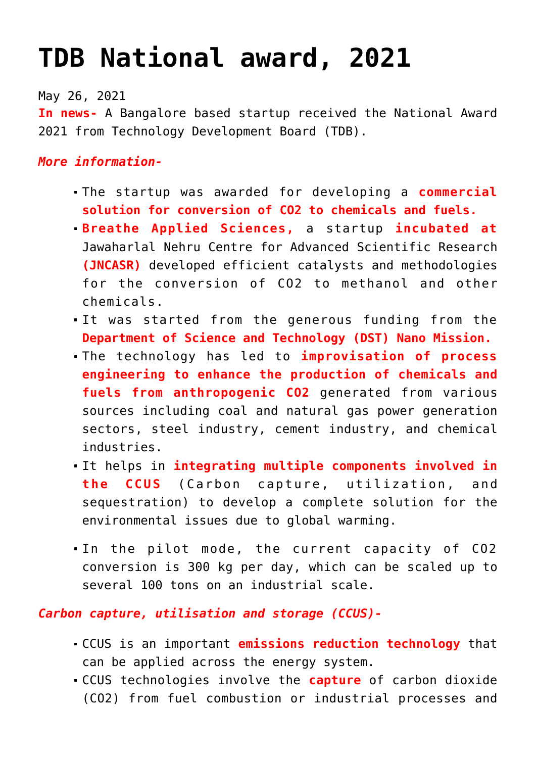## **[TDB National award, 2021](https://journalsofindia.com/tdb-national-award-2021/)**

May 26, 2021

**In news-** A Bangalore based startup received the National Award 2021 from Technology Development Board (TDB).

## *More information-*

- The startup was awarded for developing a **commercial solution for conversion of CO2 to chemicals and fuels.**
- **Breathe Applied Sciences,** a startup **incubated at** Jawaharlal Nehru Centre for Advanced Scientific Research **(JNCASR)** developed efficient catalysts and methodologies for the conversion of CO2 to methanol and other chemicals.
- It was started from the generous funding from the **Department of Science and Technology (DST) Nano Mission.**
- The technology has led to **improvisation of process engineering to enhance the production of chemicals and fuels from anthropogenic CO2** generated from various sources including coal and natural gas power generation sectors, steel industry, cement industry, and chemical industries.
- It helps in **integrating multiple components involved in the CCUS** (Carbon capture, utilization, and sequestration) to develop a complete solution for the environmental issues due to global warming.
- In the pilot mode, the current capacity of CO2 conversion is 300 kg per day, which can be scaled up to several 100 tons on an industrial scale.

*Carbon capture, utilisation and storage (CCUS)-*

- CCUS is an important **emissions reduction technology** that can be applied across the energy system.
- CCUS technologies involve the **capture** of carbon dioxide (CO2) from fuel combustion or industrial processes and